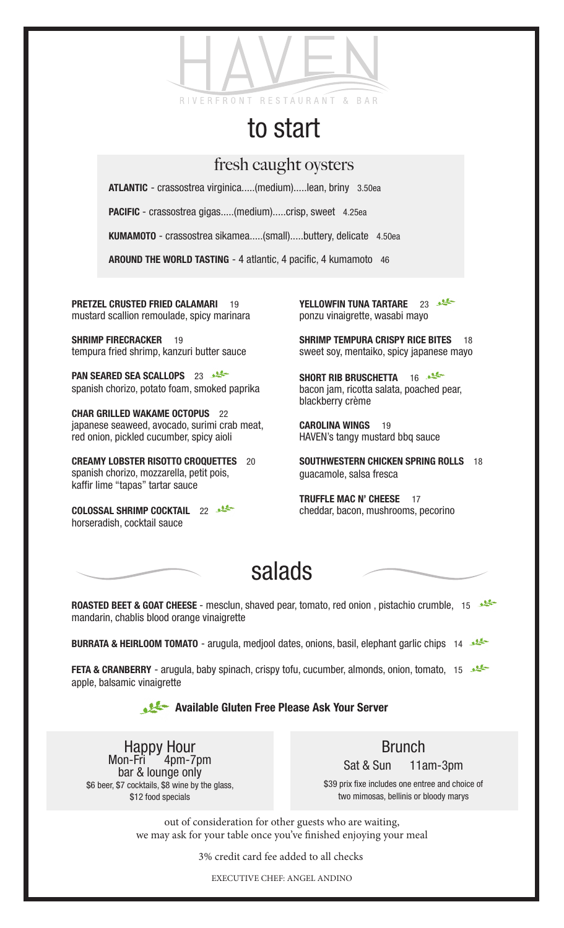

## to start

## fresh caught oysters

ATLANTIC - crassostrea virginica.....(medium).....lean, briny 3.50ea

PACIFIC - crassostrea gigas.....(medium).....crisp, sweet 4.25ea

KUMAMOTO - crassostrea sikamea.....(small).....buttery, delicate 4.50ea

AROUND THE WORLD TASTING - 4 atlantic, 4 pacific, 4 kumamoto 46

PRETZEL CRUSTED FRIED CALAMARI 19 mustard scallion remoulade, spicy marinara

SHRIMP FIRECRACKER 19 tempura fried shrimp, kanzuri butter sauce

PAN SEARED SEA SCALLOPS 23 spanish chorizo, potato foam, smoked paprika

CHAR GRILLED WAKAME OCTOPUS 22 japanese seaweed, avocado, surimi crab meat, red onion, pickled cucumber, spicy aioli

CREAMY LOBSTER RISOTTO CROQUETTES 20 spanish chorizo, mozzarella, petit pois, kaffir lime "tapas" tartar sauce

COLOSSAL SHRIMP COCKTAIL 22 horseradish, cocktail sauce

YELLOWFIN TUNA TARTARE 23 ponzu vinaigrette, wasabi mayo

SHRIMP TEMPURA CRISPY RICE BITES 18 sweet soy, mentaiko, spicy japanese mayo

SHORT RIB BRUSCHETTA 16 bacon jam, ricotta salata, poached pear, blackberry crème

CAROLINA WINGS 19 HAVEN's tangy mustard bbq sauce

SOUTHWESTERN CHICKEN SPRING ROLLS 18 guacamole, salsa fresca

TRUFFLE MAC N' CHEESE 17 cheddar, bacon, mushrooms, pecorino

## salads

ROASTED BEET & GOAT CHEESE - mesclun, shaved pear, tomato, red onion, pistachio crumble, 15 mandarin, chablis blood orange vinaigrette

BURRATA & HEIRLOOM TOMATO - arugula, medjool dates, onions, basil, elephant garlic chips 14

**FETA & CRANBERRY** - arugula, baby spinach, crispy tofu, cucumber, almonds, onion, tomato, 15 apple, balsamic vinaigrette

## Available Gluten Free Please Ask Your Server

Happy Hour<br>Mon-Fri 4pm-7pm bar & lounge only \$6 beer, \$7 cocktails, \$8 wine by the glass, \$12 food specials

Brunch Sat & Sun 11am-3pm

\$39 prix fixe includes one entree and choice of two mimosas, bellinis or bloody marys

out of consideration for other guests who are waiting, we may ask for your table once you've finished enjoying your meal

3% credit card fee added to all checks

EXECUTIVE CHEF: ANGEL ANDINO